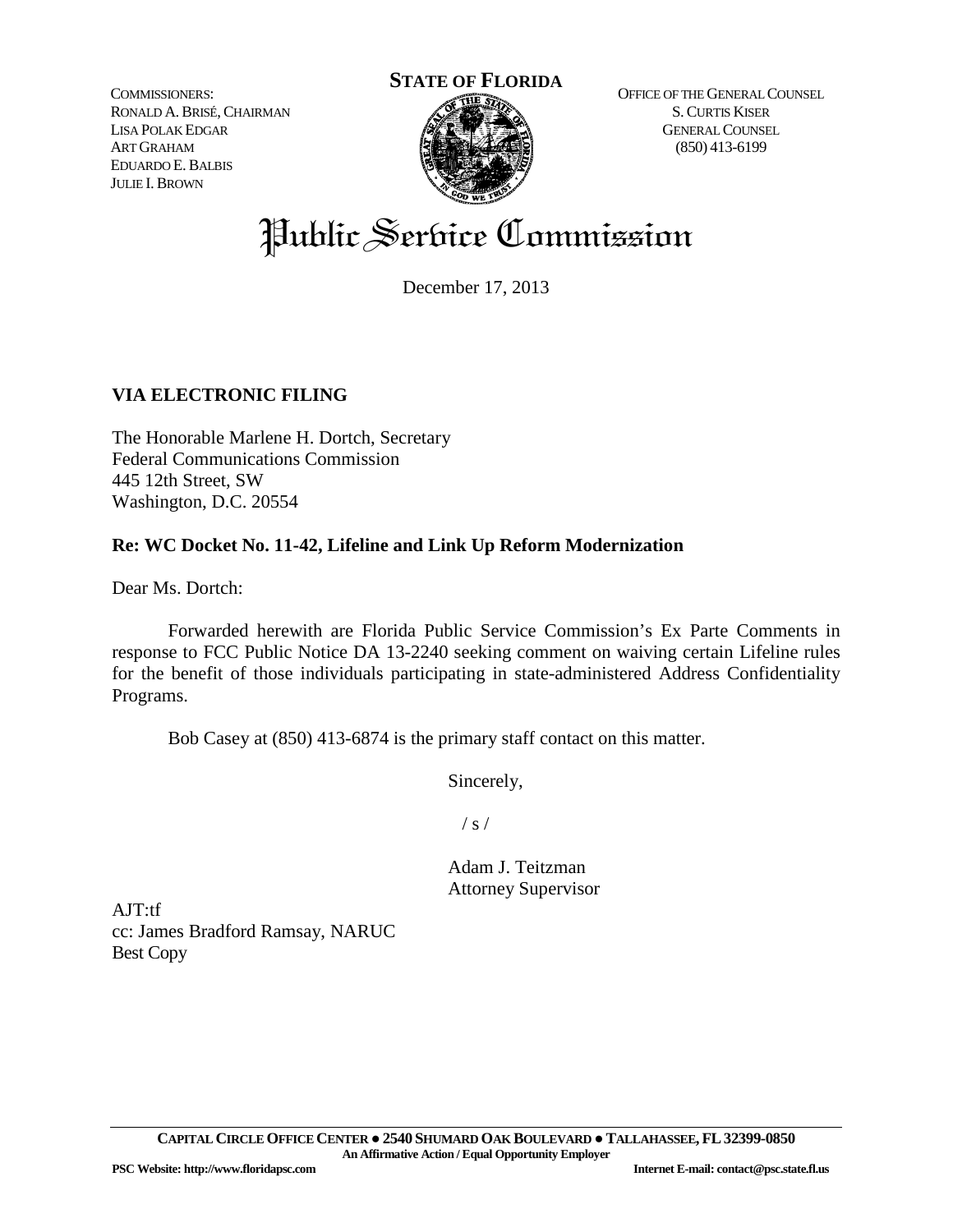COMMISSIONERS: RONALD A.BRISÉ,CHAIRMAN LISA POLAK EDGAR ART GRAHAM EDUARDO E.BALBIS JULIE I. BROWN



OFFICE OF THE GENERAL COUNSEL S.CURTIS KISER GENERAL COUNSEL (850) 413-6199

# Public Service Commission

December 17, 2013

# **VIA ELECTRONIC FILING**

The Honorable Marlene H. Dortch, Secretary Federal Communications Commission 445 12th Street, SW Washington, D.C. 20554

# **Re: WC Docket No. 11-42, Lifeline and Link Up Reform Modernization**

Dear Ms. Dortch:

Forwarded herewith are Florida Public Service Commission's Ex Parte Comments in response to FCC Public Notice DA 13-2240 seeking comment on waiving certain Lifeline rules for the benefit of those individuals participating in state-administered Address Confidentiality Programs.

Bob Casey at (850) 413-6874 is the primary staff contact on this matter.

Sincerely,

 $/ s /$ 

Adam J. Teitzman Attorney Supervisor

AJT:tf cc: James Bradford Ramsay, NARUC Best Copy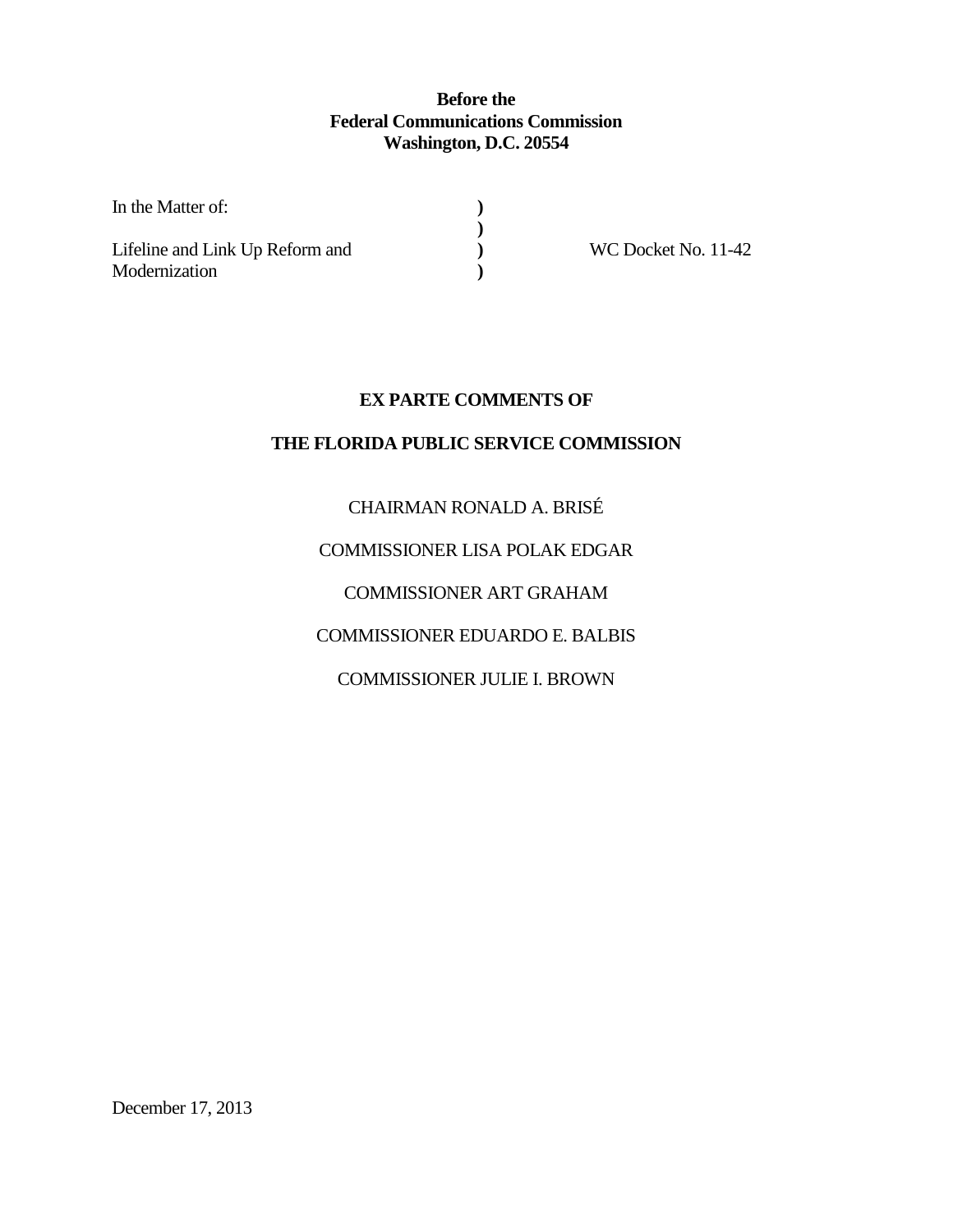# **Before the Federal Communications Commission Washington, D.C. 20554**

**) ) ) )**

| In the Matter of:                                |  |
|--------------------------------------------------|--|
| Lifeline and Link Up Reform and<br>Modernization |  |

WC Docket No. 11-42

# **EX PARTE COMMENTS OF**

# **THE FLORIDA PUBLIC SERVICE COMMISSION**

# CHAIRMAN RONALD A. BRISÉ

# COMMISSIONER LISA POLAK EDGAR

# COMMISSIONER ART GRAHAM

# COMMISSIONER EDUARDO E. BALBIS

# COMMISSIONER JULIE I. BROWN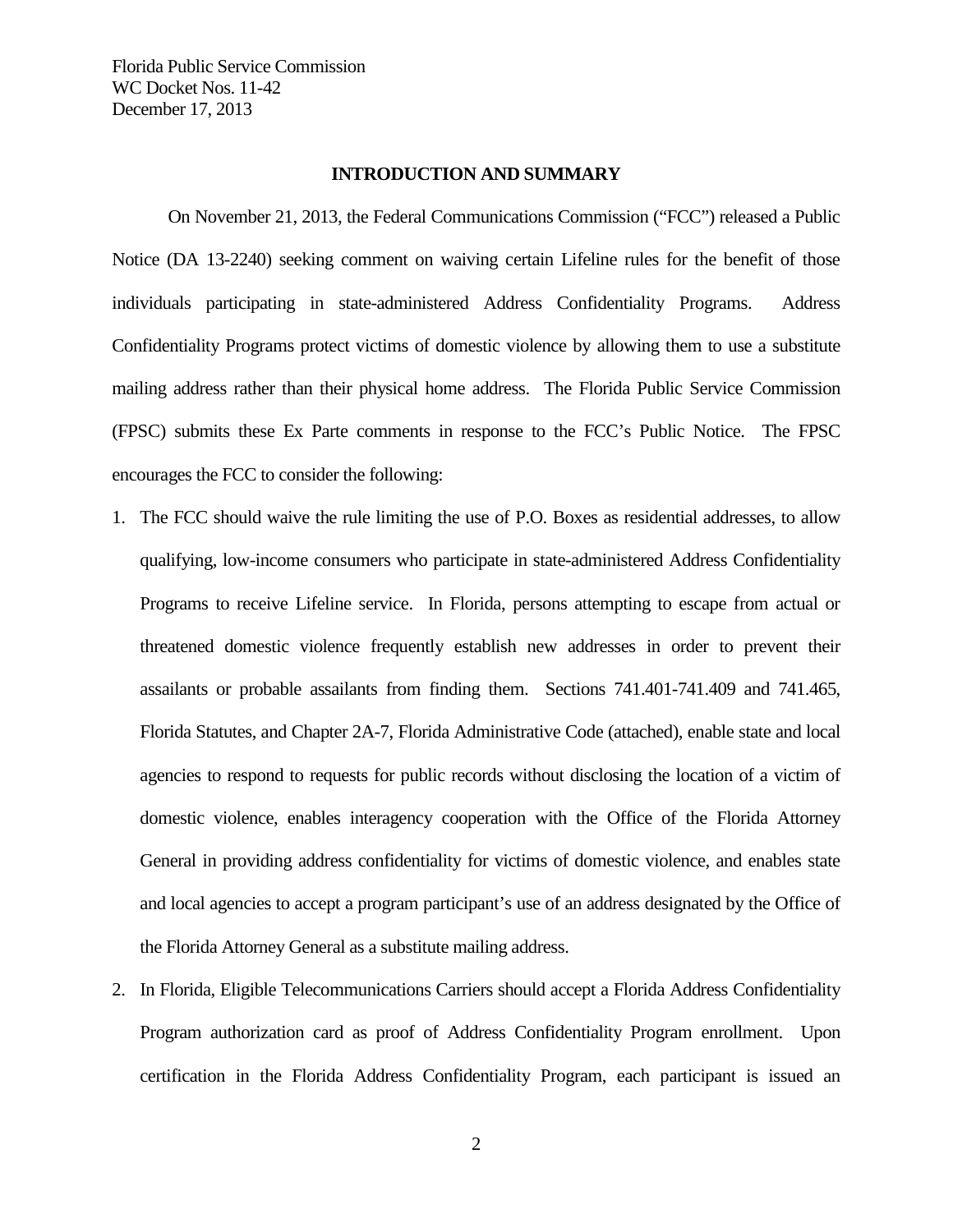## **INTRODUCTION AND SUMMARY**

On November 21, 2013, the Federal Communications Commission ("FCC") released a Public Notice (DA 13-2240) seeking comment on waiving certain Lifeline rules for the benefit of those individuals participating in state-administered Address Confidentiality Programs. Address Confidentiality Programs protect victims of domestic violence by allowing them to use a substitute mailing address rather than their physical home address. The Florida Public Service Commission (FPSC) submits these Ex Parte comments in response to the FCC's Public Notice. The FPSC encourages the FCC to consider the following:

- 1. The FCC should waive the rule limiting the use of P.O. Boxes as residential addresses, to allow qualifying, low-income consumers who participate in state-administered Address Confidentiality Programs to receive Lifeline service. In Florida, persons attempting to escape from actual or threatened domestic violence frequently establish new addresses in order to prevent their assailants or probable assailants from finding them. Sections 741.401-741.409 and 741.465, Florida Statutes, and Chapter 2A-7, Florida Administrative Code (attached), enable state and local agencies to respond to requests for public records without disclosing the location of a victim of domestic violence, enables interagency cooperation with the Office of the Florida Attorney General in providing address confidentiality for victims of domestic violence, and enables state and local agencies to accept a program participant's use of an address designated by the Office of the Florida Attorney General as a substitute mailing address.
- 2. In Florida, Eligible Telecommunications Carriers should accept a Florida Address Confidentiality Program authorization card as proof of Address Confidentiality Program enrollment. Upon certification in the Florida Address Confidentiality Program, each participant is issued an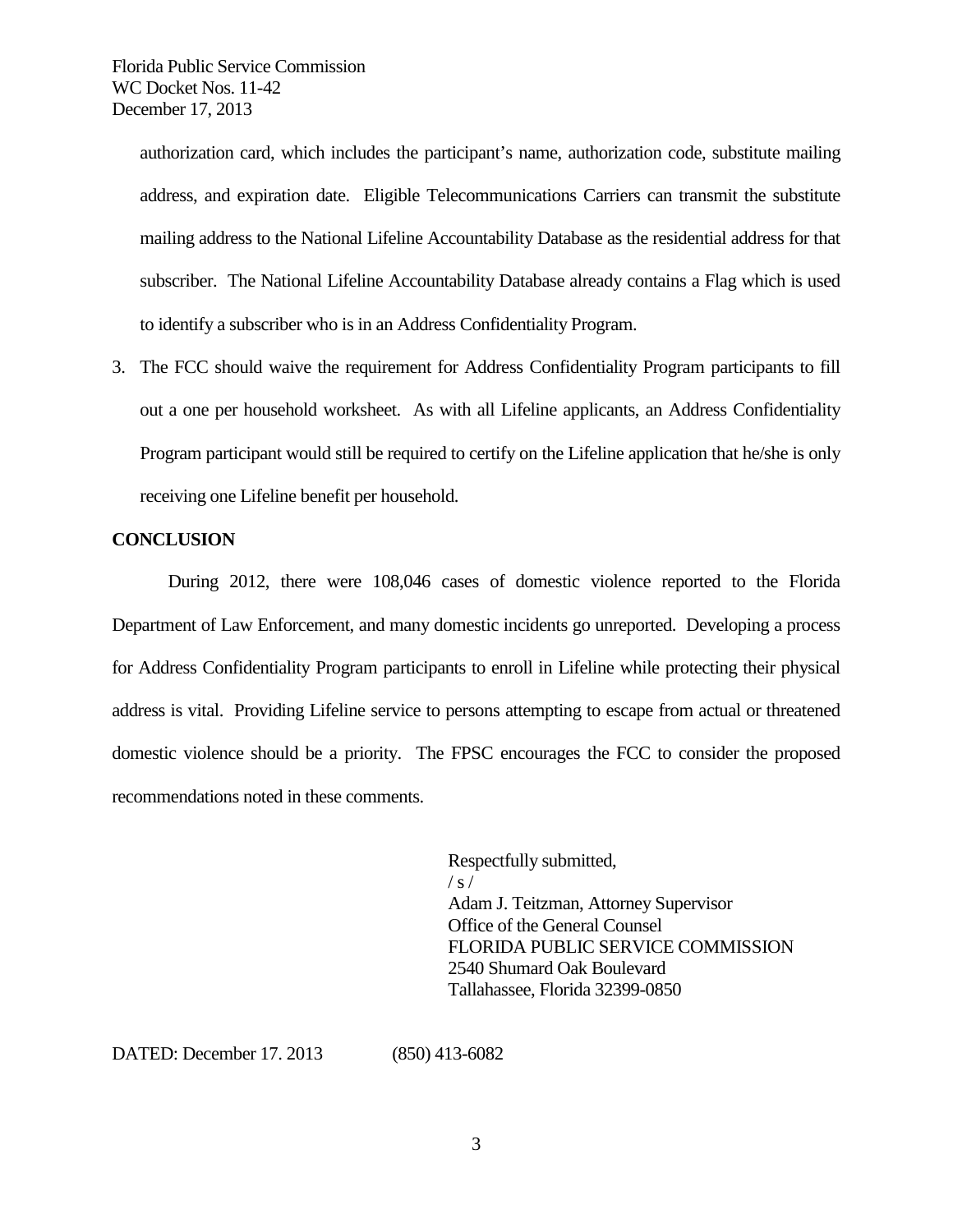> authorization card, which includes the participant's name, authorization code, substitute mailing address, and expiration date. Eligible Telecommunications Carriers can transmit the substitute mailing address to the National Lifeline Accountability Database as the residential address for that subscriber. The National Lifeline Accountability Database already contains a Flag which is used to identify a subscriber who is in an Address Confidentiality Program.

3. The FCC should waive the requirement for Address Confidentiality Program participants to fill out a one per household worksheet. As with all Lifeline applicants, an Address Confidentiality Program participant would still be required to certify on the Lifeline application that he/she is only receiving one Lifeline benefit per household.

## **CONCLUSION**

During 2012, there were 108,046 cases of domestic violence reported to the Florida Department of Law Enforcement, and many domestic incidents go unreported. Developing a process for Address Confidentiality Program participants to enroll in Lifeline while protecting their physical address is vital. Providing Lifeline service to persons attempting to escape from actual or threatened domestic violence should be a priority. The FPSC encourages the FCC to consider the proposed recommendations noted in these comments.

> Respectfully submitted,  $/ s /$ Adam J. Teitzman, Attorney Supervisor Office of the General Counsel FLORIDA PUBLIC SERVICE COMMISSION 2540 Shumard Oak Boulevard Tallahassee, Florida 32399-0850

DATED: December 17. 2013 (850) 413-6082

3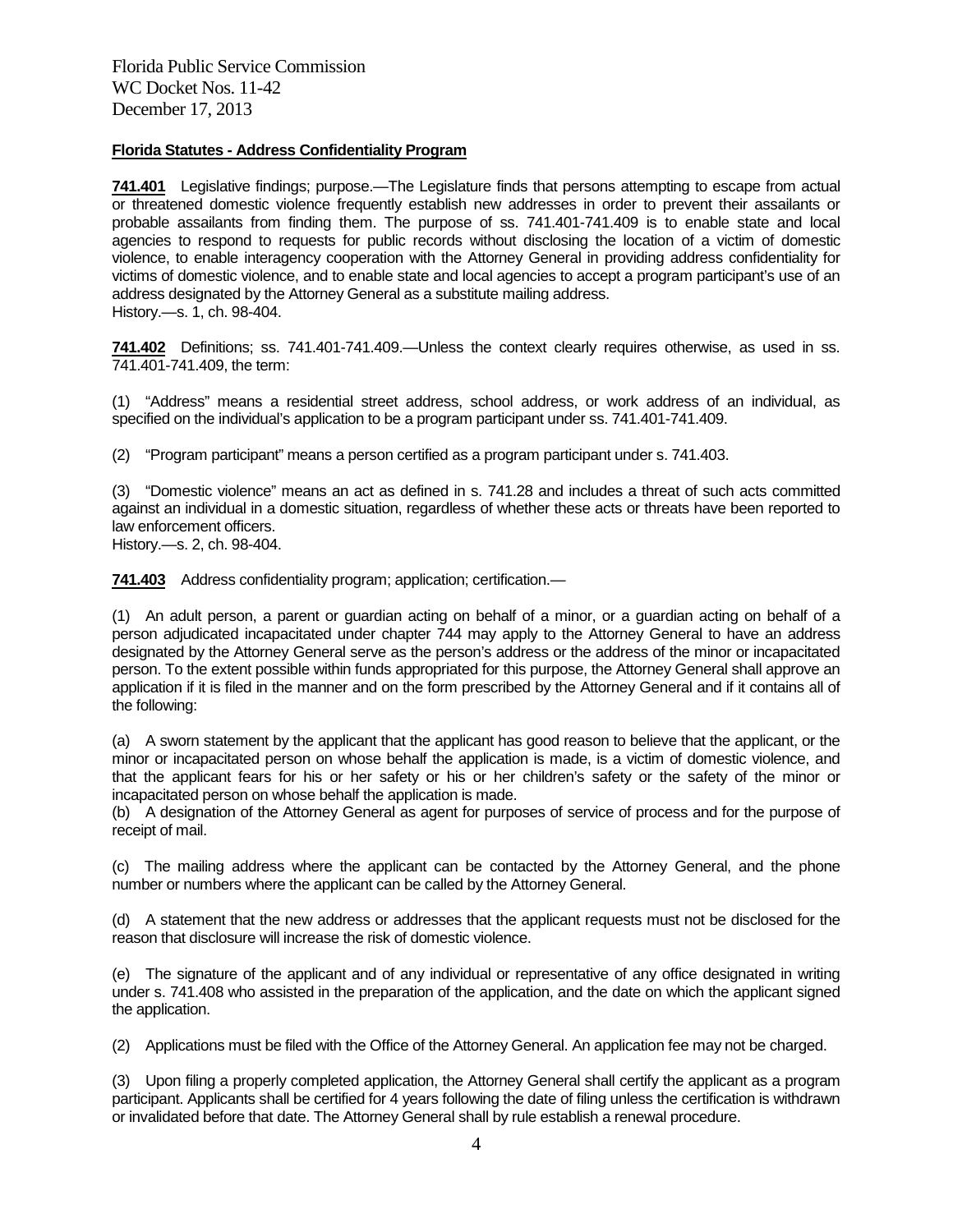## **Florida Statutes - Address Confidentiality Program**

**741.401** Legislative findings; purpose.—The Legislature finds that persons attempting to escape from actual or threatened domestic violence frequently establish new addresses in order to prevent their assailants or probable assailants from finding them. The purpose of ss. 741.401-741.409 is to enable state and local agencies to respond to requests for public records without disclosing the location of a victim of domestic violence, to enable interagency cooperation with the Attorney General in providing address confidentiality for victims of domestic violence, and to enable state and local agencies to accept a program participant's use of an address designated by the Attorney General as a substitute mailing address. History.—s. 1, ch. 98-404.

**741.402** Definitions; ss. 741.401-741.409.—Unless the context clearly requires otherwise, as used in ss. 741.401-741.409, the term:

(1) "Address" means a residential street address, school address, or work address of an individual, as specified on the individual's application to be a program participant under ss. 741.401-741.409.

(2) "Program participant" means a person certified as a program participant under s. 741.403.

(3) "Domestic violence" means an act as defined in s. 741.28 and includes a threat of such acts committed against an individual in a domestic situation, regardless of whether these acts or threats have been reported to law enforcement officers.

History.—s. 2, ch. 98-404.

**741.403** Address confidentiality program; application; certification.—

(1) An adult person, a parent or guardian acting on behalf of a minor, or a guardian acting on behalf of a person adjudicated incapacitated under chapter 744 may apply to the Attorney General to have an address designated by the Attorney General serve as the person's address or the address of the minor or incapacitated person. To the extent possible within funds appropriated for this purpose, the Attorney General shall approve an application if it is filed in the manner and on the form prescribed by the Attorney General and if it contains all of the following:

(a) A sworn statement by the applicant that the applicant has good reason to believe that the applicant, or the minor or incapacitated person on whose behalf the application is made, is a victim of domestic violence, and that the applicant fears for his or her safety or his or her children's safety or the safety of the minor or incapacitated person on whose behalf the application is made.

(b) A designation of the Attorney General as agent for purposes of service of process and for the purpose of receipt of mail.

(c) The mailing address where the applicant can be contacted by the Attorney General, and the phone number or numbers where the applicant can be called by the Attorney General.

(d) A statement that the new address or addresses that the applicant requests must not be disclosed for the reason that disclosure will increase the risk of domestic violence.

(e) The signature of the applicant and of any individual or representative of any office designated in writing under s. 741.408 who assisted in the preparation of the application, and the date on which the applicant signed the application.

(2) Applications must be filed with the Office of the Attorney General. An application fee may not be charged.

(3) Upon filing a properly completed application, the Attorney General shall certify the applicant as a program participant. Applicants shall be certified for 4 years following the date of filing unless the certification is withdrawn or invalidated before that date. The Attorney General shall by rule establish a renewal procedure.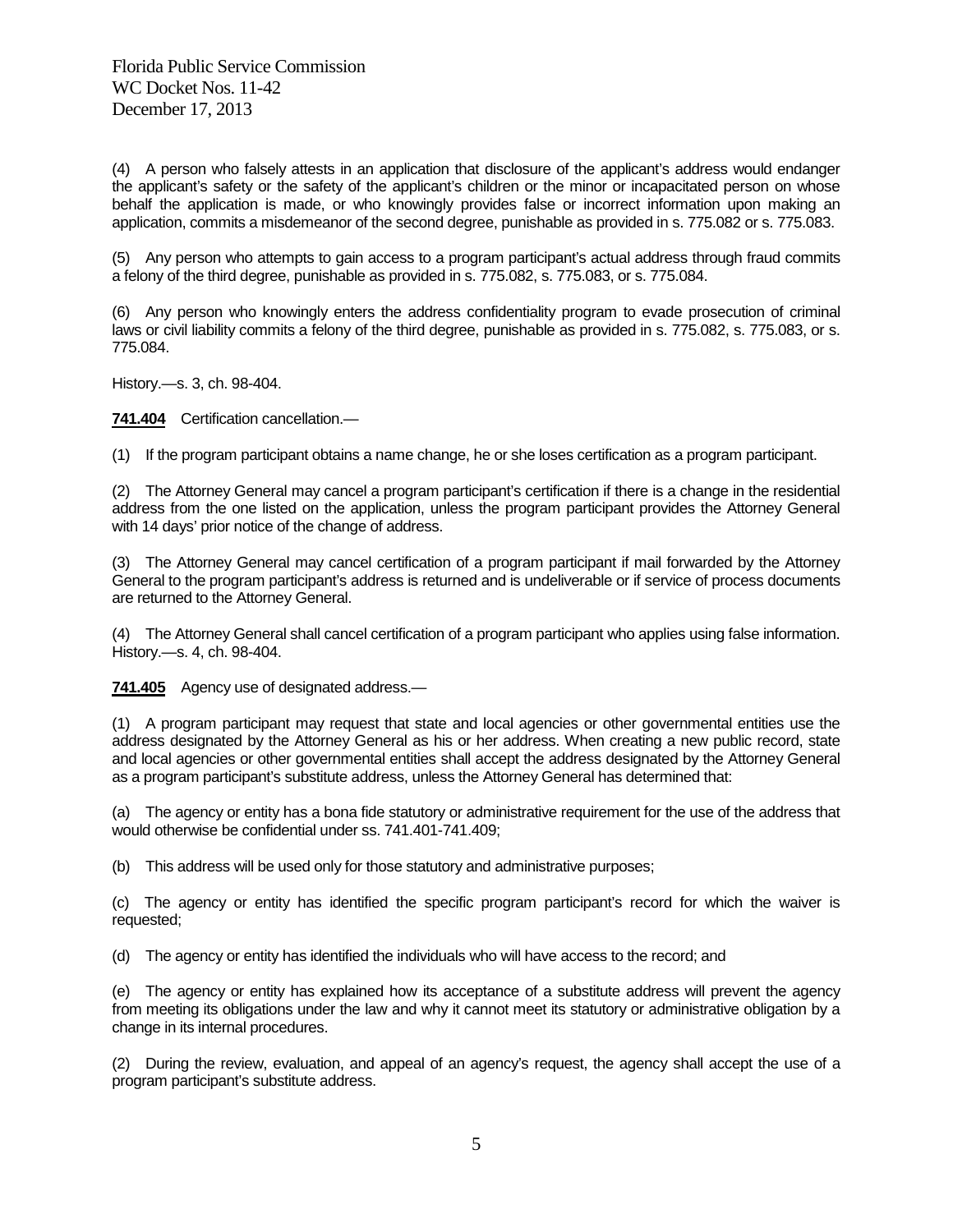(4) A person who falsely attests in an application that disclosure of the applicant's address would endanger the applicant's safety or the safety of the applicant's children or the minor or incapacitated person on whose behalf the application is made, or who knowingly provides false or incorrect information upon making an application, commits a misdemeanor of the second degree, punishable as provided in s. 775.082 or s. 775.083.

(5) Any person who attempts to gain access to a program participant's actual address through fraud commits a felony of the third degree, punishable as provided in s. 775.082, s. 775.083, or s. 775.084.

(6) Any person who knowingly enters the address confidentiality program to evade prosecution of criminal laws or civil liability commits a felony of the third degree, punishable as provided in s. 775.082, s. 775.083, or s. 775.084.

History.—s. 3, ch. 98-404.

**741.404** Certification cancellation.—

(1) If the program participant obtains a name change, he or she loses certification as a program participant.

(2) The Attorney General may cancel a program participant's certification if there is a change in the residential address from the one listed on the application, unless the program participant provides the Attorney General with 14 days' prior notice of the change of address.

(3) The Attorney General may cancel certification of a program participant if mail forwarded by the Attorney General to the program participant's address is returned and is undeliverable or if service of process documents are returned to the Attorney General.

(4) The Attorney General shall cancel certification of a program participant who applies using false information. History.—s. 4, ch. 98-404.

**741.405** Agency use of designated address.—

(1) A program participant may request that state and local agencies or other governmental entities use the address designated by the Attorney General as his or her address. When creating a new public record, state and local agencies or other governmental entities shall accept the address designated by the Attorney General as a program participant's substitute address, unless the Attorney General has determined that:

(a) The agency or entity has a bona fide statutory or administrative requirement for the use of the address that would otherwise be confidential under ss. 741.401-741.409;

(b) This address will be used only for those statutory and administrative purposes;

(c) The agency or entity has identified the specific program participant's record for which the waiver is requested;

(d) The agency or entity has identified the individuals who will have access to the record; and

(e) The agency or entity has explained how its acceptance of a substitute address will prevent the agency from meeting its obligations under the law and why it cannot meet its statutory or administrative obligation by a change in its internal procedures.

(2) During the review, evaluation, and appeal of an agency's request, the agency shall accept the use of a program participant's substitute address.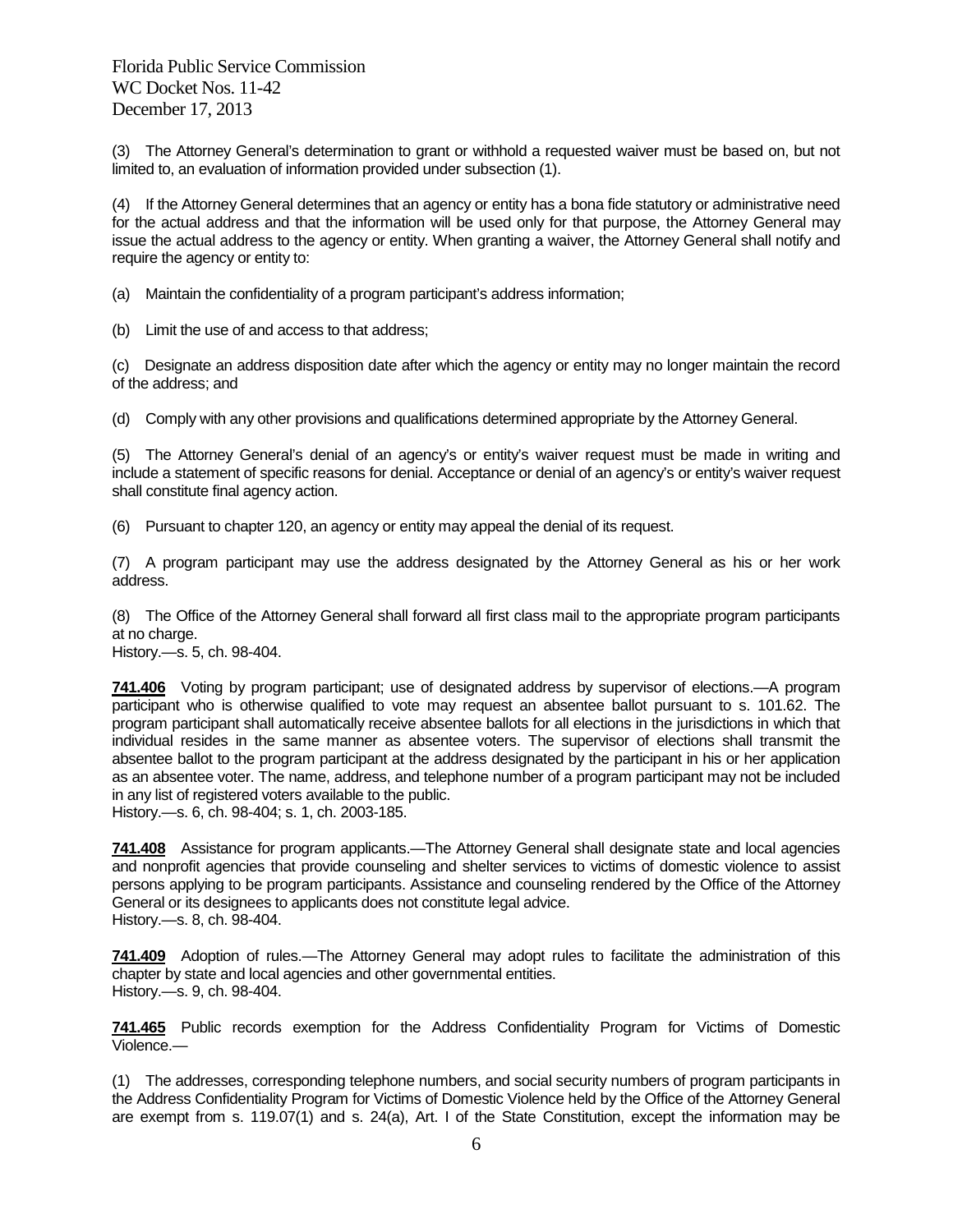(3) The Attorney General's determination to grant or withhold a requested waiver must be based on, but not limited to, an evaluation of information provided under subsection (1).

(4) If the Attorney General determines that an agency or entity has a bona fide statutory or administrative need for the actual address and that the information will be used only for that purpose, the Attorney General may issue the actual address to the agency or entity. When granting a waiver, the Attorney General shall notify and require the agency or entity to:

(a) Maintain the confidentiality of a program participant's address information;

(b) Limit the use of and access to that address;

(c) Designate an address disposition date after which the agency or entity may no longer maintain the record of the address; and

(d) Comply with any other provisions and qualifications determined appropriate by the Attorney General.

(5) The Attorney General's denial of an agency's or entity's waiver request must be made in writing and include a statement of specific reasons for denial. Acceptance or denial of an agency's or entity's waiver request shall constitute final agency action.

(6) Pursuant to chapter 120, an agency or entity may appeal the denial of its request.

(7) A program participant may use the address designated by the Attorney General as his or her work address.

(8) The Office of the Attorney General shall forward all first class mail to the appropriate program participants at no charge. History.—s. 5, ch. 98-404.

**741.406** Voting by program participant; use of designated address by supervisor of elections.—A program participant who is otherwise qualified to vote may request an absentee ballot pursuant to s. 101.62. The program participant shall automatically receive absentee ballots for all elections in the jurisdictions in which that individual resides in the same manner as absentee voters. The supervisor of elections shall transmit the absentee ballot to the program participant at the address designated by the participant in his or her application as an absentee voter. The name, address, and telephone number of a program participant may not be included in any list of registered voters available to the public.

History.—s. 6, ch. 98-404; s. 1, ch. 2003-185.

**741.408** Assistance for program applicants.—The Attorney General shall designate state and local agencies and nonprofit agencies that provide counseling and shelter services to victims of domestic violence to assist persons applying to be program participants. Assistance and counseling rendered by the Office of the Attorney General or its designees to applicants does not constitute legal advice. History.—s. 8, ch. 98-404.

**741.409** Adoption of rules.—The Attorney General may adopt rules to facilitate the administration of this chapter by state and local agencies and other governmental entities. History.—s. 9, ch. 98-404.

**741.465** Public records exemption for the Address Confidentiality Program for Victims of Domestic Violence.—

(1) The addresses, corresponding telephone numbers, and social security numbers of program participants in the Address Confidentiality Program for Victims of Domestic Violence held by the Office of the Attorney General are exempt from s. 119.07(1) and s. 24(a), Art. I of the State Constitution, except the information may be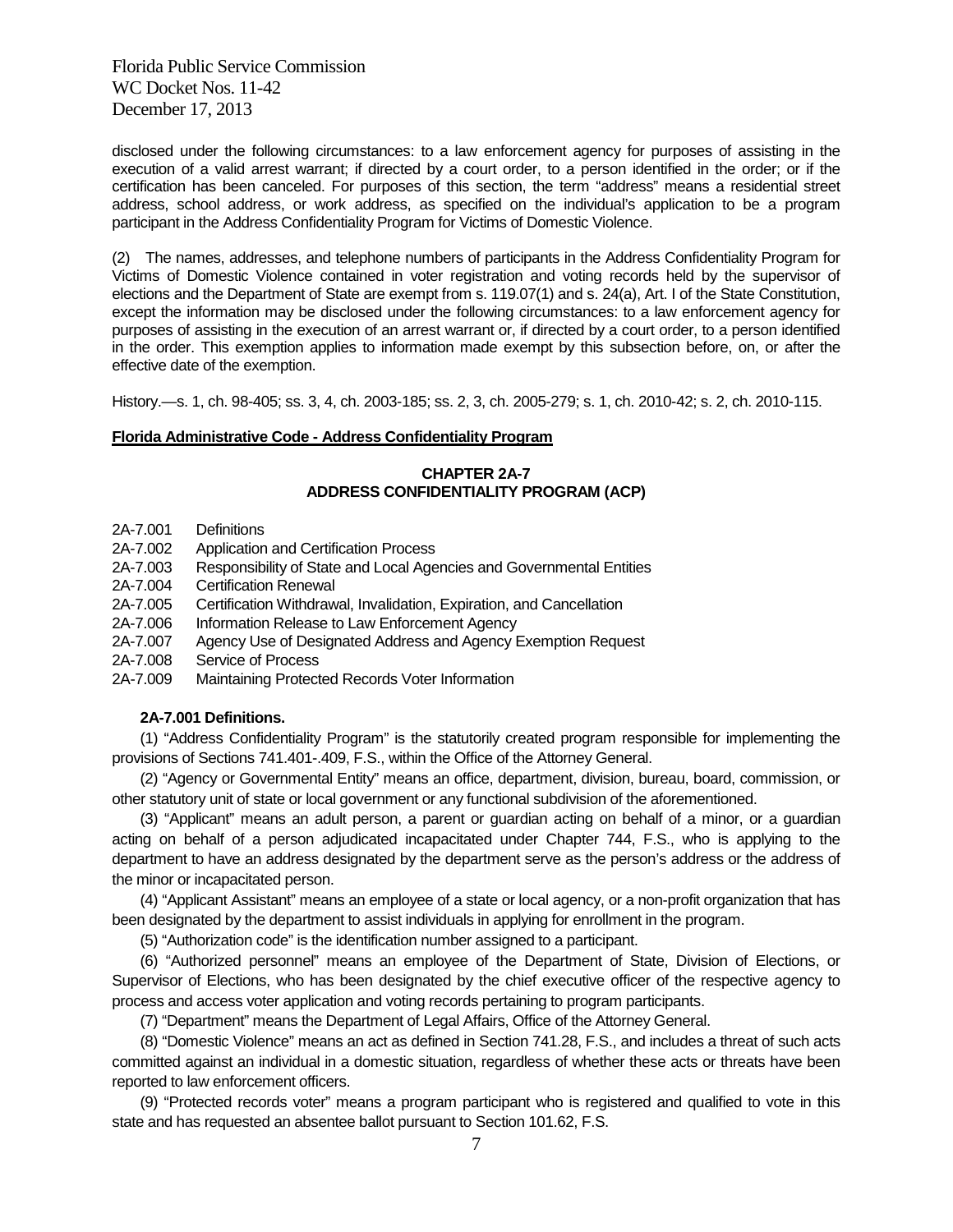disclosed under the following circumstances: to a law enforcement agency for purposes of assisting in the execution of a valid arrest warrant; if directed by a court order, to a person identified in the order; or if the certification has been canceled. For purposes of this section, the term "address" means a residential street address, school address, or work address, as specified on the individual's application to be a program participant in the Address Confidentiality Program for Victims of Domestic Violence.

(2) The names, addresses, and telephone numbers of participants in the Address Confidentiality Program for Victims of Domestic Violence contained in voter registration and voting records held by the supervisor of elections and the Department of State are exempt from s. 119.07(1) and s. 24(a), Art. I of the State Constitution, except the information may be disclosed under the following circumstances: to a law enforcement agency for purposes of assisting in the execution of an arrest warrant or, if directed by a court order, to a person identified in the order. This exemption applies to information made exempt by this subsection before, on, or after the effective date of the exemption.

History.—s. 1, ch. 98-405; ss. 3, 4, ch. 2003-185; ss. 2, 3, ch. 2005-279; s. 1, ch. 2010-42; s. 2, ch. 2010-115.

## **Florida Administrative Code - Address Confidentiality Program**

## **CHAPTER 2A-7 ADDRESS CONFIDENTIALITY PROGRAM (ACP)**

- 2A-7.001 Definitions
- 2A-7.002 Application and Certification Process
- 2A-7.003 Responsibility of State and Local Agencies and Governmental Entities
- 2A-7.004 Certification Renewal
- 2A-7.005 Certification Withdrawal, Invalidation, Expiration, and Cancellation
- 2A-7.006 Information Release to Law Enforcement Agency
- 2A-7.007 Agency Use of Designated Address and Agency Exemption Request
- 2A-7.008 Service of Process
- 2A-7.009 Maintaining Protected Records Voter Information

## **2A-7.001 Definitions.**

(1) "Address Confidentiality Program" is the statutorily created program responsible for implementing the provisions of Sections 741.401-.409, F.S., within the Office of the Attorney General.

(2) "Agency or Governmental Entity" means an office, department, division, bureau, board, commission, or other statutory unit of state or local government or any functional subdivision of the aforementioned.

(3) "Applicant" means an adult person, a parent or guardian acting on behalf of a minor, or a guardian acting on behalf of a person adjudicated incapacitated under Chapter 744, F.S., who is applying to the department to have an address designated by the department serve as the person's address or the address of the minor or incapacitated person.

(4) "Applicant Assistant" means an employee of a state or local agency, or a non-profit organization that has been designated by the department to assist individuals in applying for enrollment in the program.

(5) "Authorization code" is the identification number assigned to a participant.

(6) "Authorized personnel" means an employee of the Department of State, Division of Elections, or Supervisor of Elections, who has been designated by the chief executive officer of the respective agency to process and access voter application and voting records pertaining to program participants.

(7) "Department" means the Department of Legal Affairs, Office of the Attorney General.

(8) "Domestic Violence" means an act as defined in Section 741.28, F.S., and includes a threat of such acts committed against an individual in a domestic situation, regardless of whether these acts or threats have been reported to law enforcement officers.

(9) "Protected records voter" means a program participant who is registered and qualified to vote in this state and has requested an absentee ballot pursuant to Section 101.62, F.S.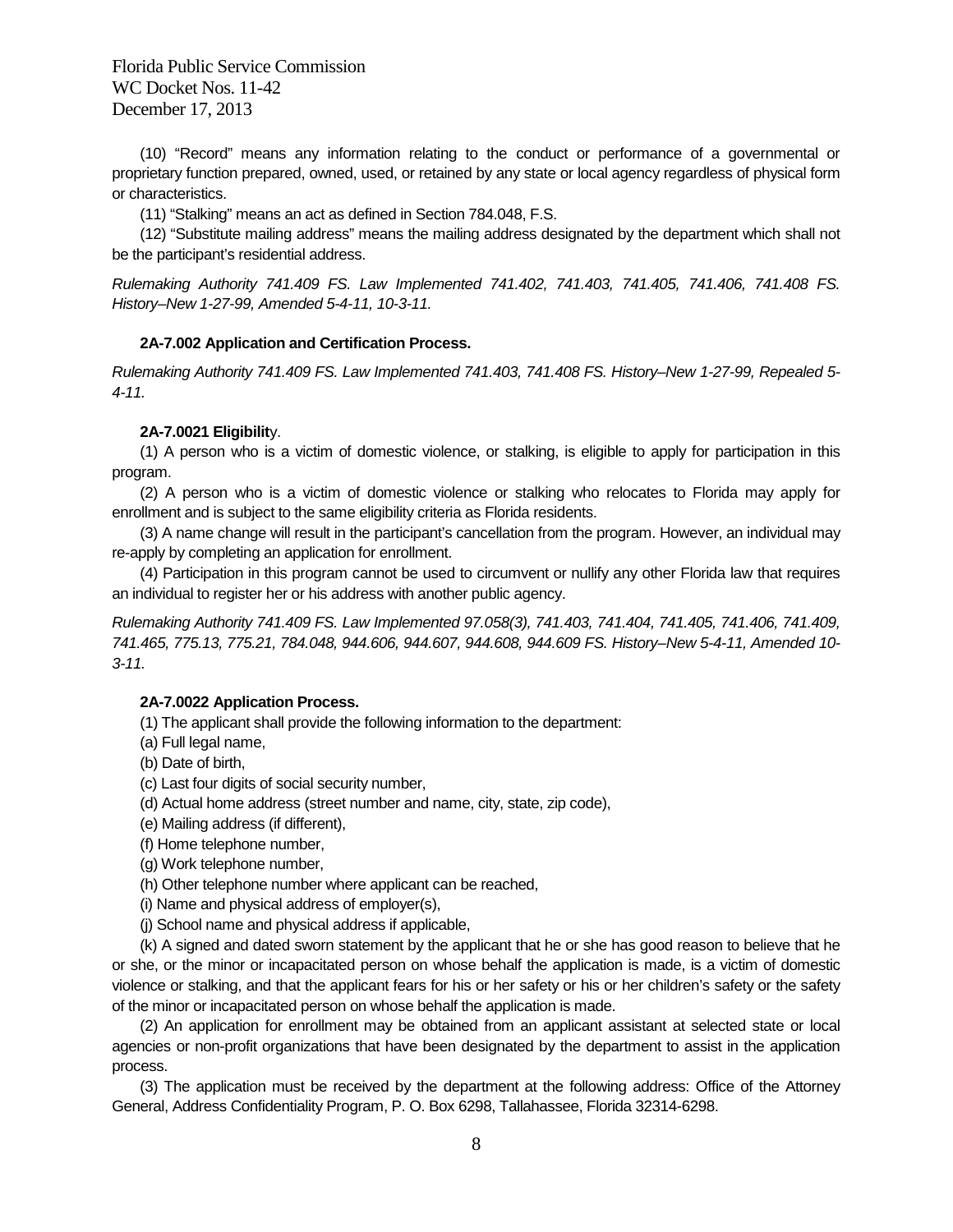(10) "Record" means any information relating to the conduct or performance of a governmental or proprietary function prepared, owned, used, or retained by any state or local agency regardless of physical form or characteristics.

(11) "Stalking" means an act as defined in Section 784.048, F.S.

(12) "Substitute mailing address" means the mailing address designated by the department which shall not be the participant's residential address.

*Rulemaking Authority 741.409 FS. Law Implemented 741.402, 741.403, 741.405, 741.406, 741.408 FS. History–New 1-27-99, Amended 5-4-11, 10-3-11.*

## **2A-7.002 Application and Certification Process.**

*Rulemaking Authority 741.409 FS. Law Implemented 741.403, 741.408 FS. History–New 1-27-99, Repealed 5- 4-11.*

## **2A-7.0021 Eligibilit**y.

(1) A person who is a victim of domestic violence, or stalking, is eligible to apply for participation in this program.

(2) A person who is a victim of domestic violence or stalking who relocates to Florida may apply for enrollment and is subject to the same eligibility criteria as Florida residents.

(3) A name change will result in the participant's cancellation from the program. However, an individual may re-apply by completing an application for enrollment.

(4) Participation in this program cannot be used to circumvent or nullify any other Florida law that requires an individual to register her or his address with another public agency.

*Rulemaking Authority 741.409 FS. Law Implemented 97.058(3), 741.403, 741.404, 741.405, 741.406, 741.409, 741.465, 775.13, 775.21, 784.048, 944.606, 944.607, 944.608, 944.609 FS. History–New 5-4-11, Amended 10- 3-11.*

## **2A-7.0022 Application Process.**

(1) The applicant shall provide the following information to the department:

(a) Full legal name,

- (b) Date of birth,
- (c) Last four digits of social security number,
- (d) Actual home address (street number and name, city, state, zip code),
- (e) Mailing address (if different),
- (f) Home telephone number,
- (g) Work telephone number,
- (h) Other telephone number where applicant can be reached,
- (i) Name and physical address of employer(s),
- (j) School name and physical address if applicable,

(k) A signed and dated sworn statement by the applicant that he or she has good reason to believe that he or she, or the minor or incapacitated person on whose behalf the application is made, is a victim of domestic violence or stalking, and that the applicant fears for his or her safety or his or her children's safety or the safety of the minor or incapacitated person on whose behalf the application is made.

(2) An application for enrollment may be obtained from an applicant assistant at selected state or local agencies or non-profit organizations that have been designated by the department to assist in the application process.

(3) The application must be received by the department at the following address: Office of the Attorney General, Address Confidentiality Program, P. O. Box 6298, Tallahassee, Florida 32314-6298.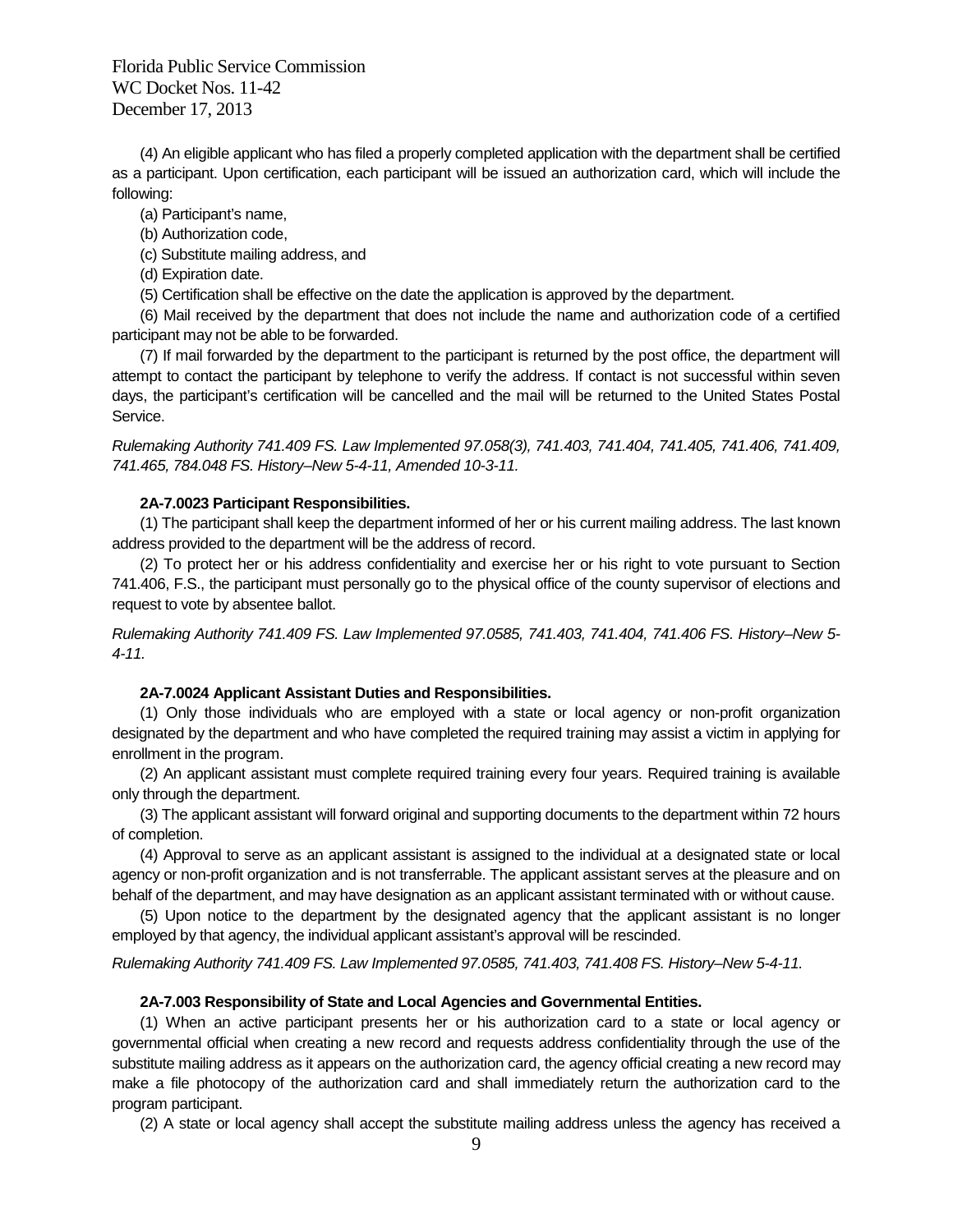(4) An eligible applicant who has filed a properly completed application with the department shall be certified as a participant. Upon certification, each participant will be issued an authorization card, which will include the following:

(a) Participant's name,

- (b) Authorization code,
- (c) Substitute mailing address, and
- (d) Expiration date.
- (5) Certification shall be effective on the date the application is approved by the department.

(6) Mail received by the department that does not include the name and authorization code of a certified participant may not be able to be forwarded.

(7) If mail forwarded by the department to the participant is returned by the post office, the department will attempt to contact the participant by telephone to verify the address. If contact is not successful within seven days, the participant's certification will be cancelled and the mail will be returned to the United States Postal Service.

*Rulemaking Authority 741.409 FS. Law Implemented 97.058(3), 741.403, 741.404, 741.405, 741.406, 741.409, 741.465, 784.048 FS. History–New 5-4-11, Amended 10-3-11.*

#### **2A-7.0023 Participant Responsibilities.**

(1) The participant shall keep the department informed of her or his current mailing address. The last known address provided to the department will be the address of record.

(2) To protect her or his address confidentiality and exercise her or his right to vote pursuant to Section 741.406, F.S., the participant must personally go to the physical office of the county supervisor of elections and request to vote by absentee ballot.

*Rulemaking Authority 741.409 FS. Law Implemented 97.0585, 741.403, 741.404, 741.406 FS. History–New 5- 4-11.*

#### **2A-7.0024 Applicant Assistant Duties and Responsibilities.**

(1) Only those individuals who are employed with a state or local agency or non-profit organization designated by the department and who have completed the required training may assist a victim in applying for enrollment in the program.

(2) An applicant assistant must complete required training every four years. Required training is available only through the department.

(3) The applicant assistant will forward original and supporting documents to the department within 72 hours of completion.

(4) Approval to serve as an applicant assistant is assigned to the individual at a designated state or local agency or non-profit organization and is not transferrable. The applicant assistant serves at the pleasure and on behalf of the department, and may have designation as an applicant assistant terminated with or without cause.

(5) Upon notice to the department by the designated agency that the applicant assistant is no longer employed by that agency, the individual applicant assistant's approval will be rescinded.

*Rulemaking Authority 741.409 FS. Law Implemented 97.0585, 741.403, 741.408 FS. History–New 5-4-11.*

#### **2A-7.003 Responsibility of State and Local Agencies and Governmental Entities.**

(1) When an active participant presents her or his authorization card to a state or local agency or governmental official when creating a new record and requests address confidentiality through the use of the substitute mailing address as it appears on the authorization card, the agency official creating a new record may make a file photocopy of the authorization card and shall immediately return the authorization card to the program participant.

(2) A state or local agency shall accept the substitute mailing address unless the agency has received a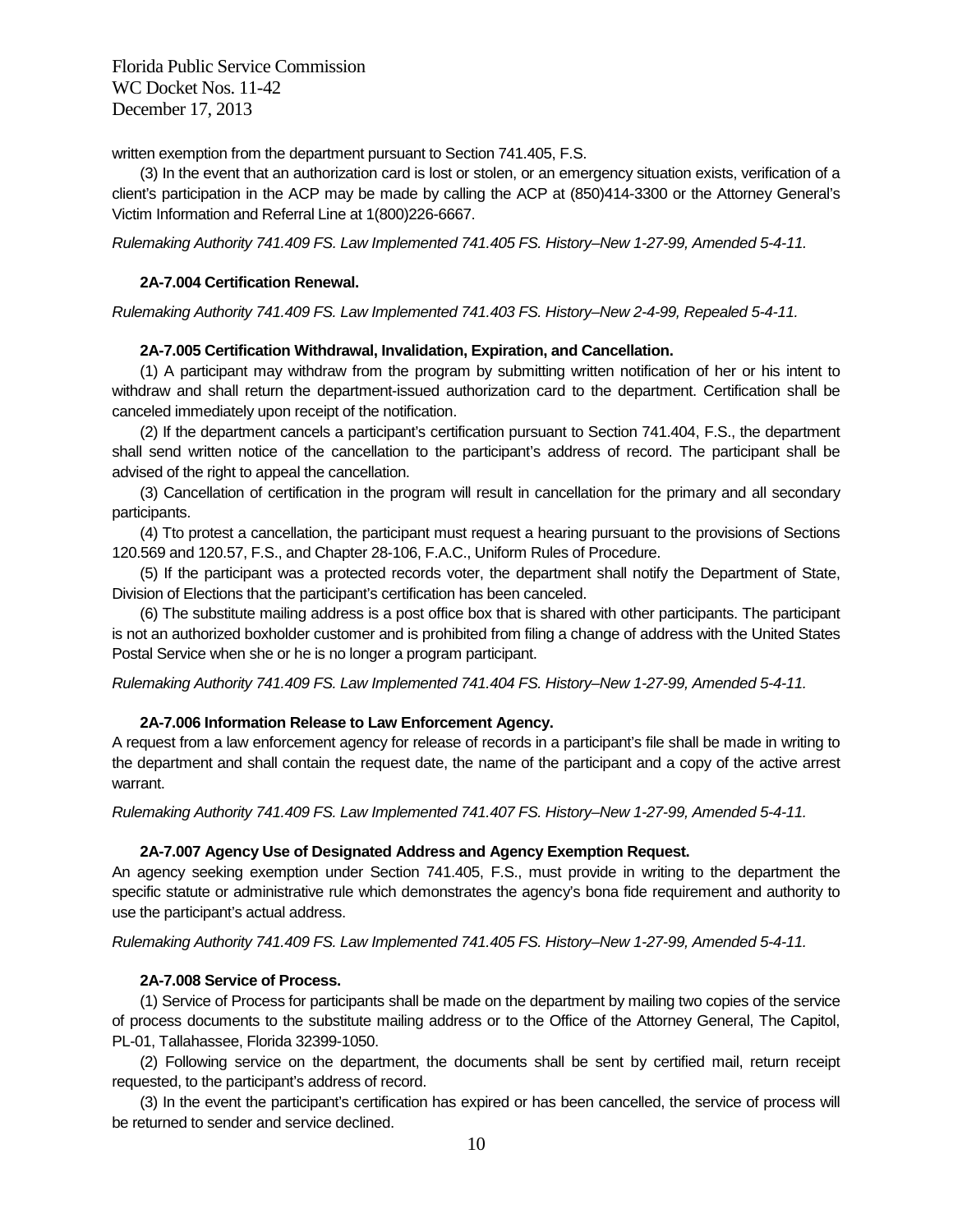written exemption from the department pursuant to Section 741.405, F.S.

(3) In the event that an authorization card is lost or stolen, or an emergency situation exists, verification of a client's participation in the ACP may be made by calling the ACP at (850)414-3300 or the Attorney General's Victim Information and Referral Line at 1(800)226-6667.

*Rulemaking Authority 741.409 FS. Law Implemented 741.405 FS. History–New 1-27-99, Amended 5-4-11.*

#### **2A-7.004 Certification Renewal.**

*Rulemaking Authority 741.409 FS. Law Implemented 741.403 FS. History–New 2-4-99, Repealed 5-4-11.*

#### **2A-7.005 Certification Withdrawal, Invalidation, Expiration, and Cancellation.**

(1) A participant may withdraw from the program by submitting written notification of her or his intent to withdraw and shall return the department-issued authorization card to the department. Certification shall be canceled immediately upon receipt of the notification.

(2) If the department cancels a participant's certification pursuant to Section 741.404, F.S., the department shall send written notice of the cancellation to the participant's address of record. The participant shall be advised of the right to appeal the cancellation.

(3) Cancellation of certification in the program will result in cancellation for the primary and all secondary participants.

(4) Tto protest a cancellation, the participant must request a hearing pursuant to the provisions of Sections 120.569 and 120.57, F.S., and Chapter 28-106, F.A.C., Uniform Rules of Procedure.

(5) If the participant was a protected records voter, the department shall notify the Department of State, Division of Elections that the participant's certification has been canceled.

(6) The substitute mailing address is a post office box that is shared with other participants. The participant is not an authorized boxholder customer and is prohibited from filing a change of address with the United States Postal Service when she or he is no longer a program participant.

*Rulemaking Authority 741.409 FS. Law Implemented 741.404 FS. History–New 1-27-99, Amended 5-4-11.*

## **2A-7.006 Information Release to Law Enforcement Agency.**

A request from a law enforcement agency for release of records in a participant's file shall be made in writing to the department and shall contain the request date, the name of the participant and a copy of the active arrest warrant.

*Rulemaking Authority 741.409 FS. Law Implemented 741.407 FS. History–New 1-27-99, Amended 5-4-11.*

## **2A-7.007 Agency Use of Designated Address and Agency Exemption Request.**

An agency seeking exemption under Section 741.405, F.S., must provide in writing to the department the specific statute or administrative rule which demonstrates the agency's bona fide requirement and authority to use the participant's actual address.

*Rulemaking Authority 741.409 FS. Law Implemented 741.405 FS. History–New 1-27-99, Amended 5-4-11.*

## **2A-7.008 Service of Process.**

(1) Service of Process for participants shall be made on the department by mailing two copies of the service of process documents to the substitute mailing address or to the Office of the Attorney General, The Capitol, PL-01, Tallahassee, Florida 32399-1050.

(2) Following service on the department, the documents shall be sent by certified mail, return receipt requested, to the participant's address of record.

(3) In the event the participant's certification has expired or has been cancelled, the service of process will be returned to sender and service declined.